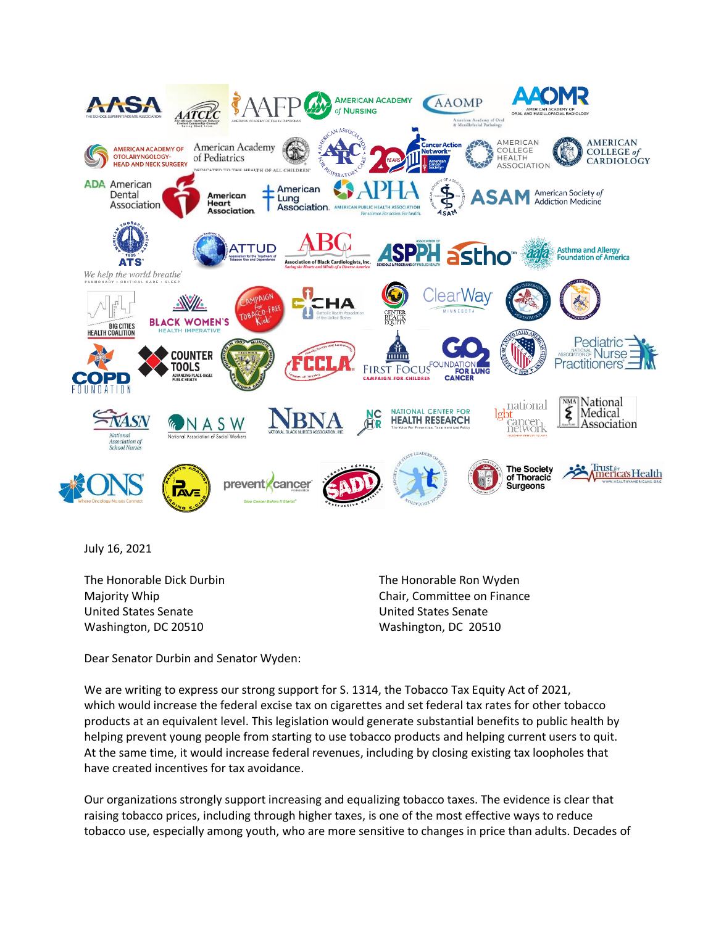

July 16, 2021

The Honorable Dick Durbin The Honorable Ron Wyden United States Senate United States Senate Washington, DC 20510 Washington, DC 20510

Majority Whip Chair, Committee on Finance

Dear Senator Durbin and Senator Wyden:

We are writing to express our strong support for S. 1314, the Tobacco Tax Equity Act of 2021, which would increase the federal excise tax on cigarettes and set federal tax rates for other tobacco products at an equivalent level. This legislation would generate substantial benefits to public health by helping prevent young people from starting to use tobacco products and helping current users to quit. At the same time, it would increase federal revenues, including by closing existing tax loopholes that have created incentives for tax avoidance.

Our organizations strongly support increasing and equalizing tobacco taxes. The evidence is clear that raising tobacco prices, including through higher taxes, is one of the most effective ways to reduce tobacco use, especially among youth, who are more sensitive to changes in price than adults. Decades of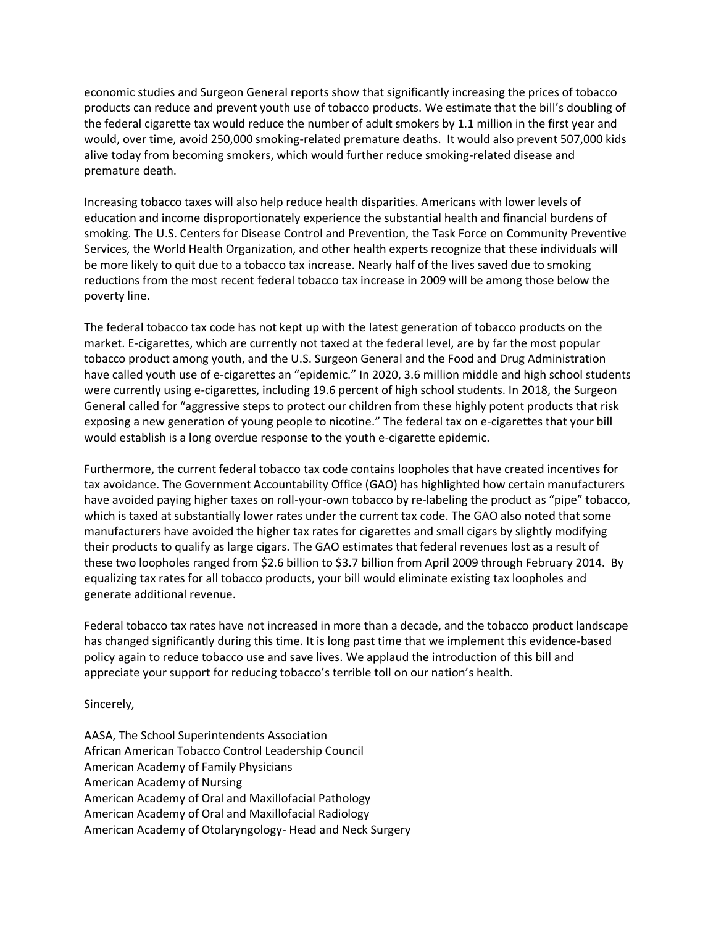economic studies and Surgeon General reports show that significantly increasing the prices of tobacco products can reduce and prevent youth use of tobacco products. We estimate that the bill's doubling of the federal cigarette tax would reduce the number of adult smokers by 1.1 million in the first year and would, over time, avoid 250,000 smoking-related premature deaths. It would also prevent 507,000 kids alive today from becoming smokers, which would further reduce smoking-related disease and premature death.

Increasing tobacco taxes will also help reduce health disparities. Americans with lower levels of education and income disproportionately experience the substantial health and financial burdens of smoking. The U.S. Centers for Disease Control and Prevention, the Task Force on Community Preventive Services, the World Health Organization, and other health experts recognize that these individuals will be more likely to quit due to a tobacco tax increase. Nearly half of the lives saved due to smoking reductions from the most recent federal tobacco tax increase in 2009 will be among those below the poverty line.

The federal tobacco tax code has not kept up with the latest generation of tobacco products on the market. E-cigarettes, which are currently not taxed at the federal level, are by far the most popular tobacco product among youth, and the U.S. Surgeon General and the Food and Drug Administration have called youth use of e-cigarettes an "epidemic." In 2020, 3.6 million middle and high school students were currently using e-cigarettes, including 19.6 percent of high school students. In 2018, the Surgeon General called for "aggressive steps to protect our children from these highly potent products that risk exposing a new generation of young people to nicotine." The federal tax on e-cigarettes that your bill would establish is a long overdue response to the youth e-cigarette epidemic.

Furthermore, the current federal tobacco tax code contains loopholes that have created incentives for tax avoidance. The Government Accountability Office (GAO) has highlighted how certain manufacturers have avoided paying higher taxes on roll-your-own tobacco by re-labeling the product as "pipe" tobacco, which is taxed at substantially lower rates under the current tax code. The GAO also noted that some manufacturers have avoided the higher tax rates for cigarettes and small cigars by slightly modifying their products to qualify as large cigars. The GAO estimates that federal revenues lost as a result of these two loopholes ranged from \$2.6 billion to \$3.7 billion from April 2009 through February 2014. By equalizing tax rates for all tobacco products, your bill would eliminate existing tax loopholes and generate additional revenue.

Federal tobacco tax rates have not increased in more than a decade, and the tobacco product landscape has changed significantly during this time. It is long past time that we implement this evidence-based policy again to reduce tobacco use and save lives. We applaud the introduction of this bill and appreciate your support for reducing tobacco's terrible toll on our nation's health.

Sincerely,

AASA, The School Superintendents Association African American Tobacco Control Leadership Council American Academy of Family Physicians American Academy of Nursing American Academy of Oral and Maxillofacial Pathology American Academy of Oral and Maxillofacial Radiology American Academy of Otolaryngology- Head and Neck Surgery